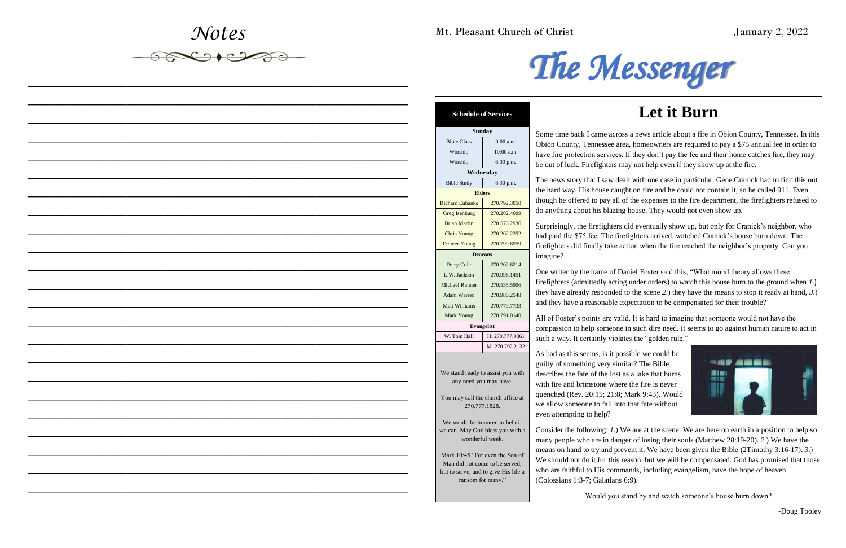*Notes*

 $-6790200$ 

*\_\_\_\_\_\_\_\_\_\_\_\_\_\_\_\_\_\_\_\_\_\_\_\_\_\_\_\_\_\_\_\_\_\_\_\_\_\_\_\_\_\_\_\_\_\_\_\_\_\_*

*\_\_\_\_\_\_\_\_\_\_\_\_\_\_\_\_\_\_\_\_\_\_\_\_\_\_\_\_\_\_\_\_\_\_\_\_\_\_\_\_\_\_\_\_\_\_\_\_\_\_*

*\_\_\_\_\_\_\_\_\_\_\_\_\_\_\_\_\_\_\_\_\_\_\_\_\_\_\_\_\_\_\_\_\_\_\_\_\_\_\_\_\_\_\_\_\_\_\_\_\_\_*

*\_\_\_\_\_\_\_\_\_\_\_\_\_\_\_\_\_\_\_\_\_\_\_\_\_\_\_\_\_\_\_\_\_\_\_\_\_\_\_\_\_\_\_\_\_\_\_\_\_\_*

*\_\_\_\_\_\_\_\_\_\_\_\_\_\_\_\_\_\_\_\_\_\_\_\_\_\_\_\_\_\_\_\_\_\_\_\_\_\_\_\_\_\_\_\_\_\_\_\_\_\_*

*\_\_\_\_\_\_\_\_\_\_\_\_\_\_\_\_\_\_\_\_\_\_\_\_\_\_\_\_\_\_\_\_\_\_\_\_\_\_\_\_\_\_\_\_\_\_\_\_\_\_*

*\_\_\_\_\_\_\_\_\_\_\_\_\_\_\_\_\_\_\_\_\_\_\_\_\_\_\_\_\_\_\_\_\_\_\_\_\_\_\_\_\_\_\_\_\_\_\_\_\_\_*

*\_\_\_\_\_\_\_\_\_\_\_\_\_\_\_\_\_\_\_\_\_\_\_\_\_\_\_\_\_\_\_\_\_\_\_\_\_\_\_\_\_\_\_\_\_\_\_\_\_\_*

*\_\_\_\_\_\_\_\_\_\_\_\_\_\_\_\_\_\_\_\_\_\_\_\_\_\_\_\_\_\_\_\_\_\_\_\_\_\_\_\_\_\_\_\_\_\_\_\_\_\_*

*\_\_\_\_\_\_\_\_\_\_\_\_\_\_\_\_\_\_\_\_\_\_\_\_\_\_\_\_\_\_\_\_\_\_\_\_\_\_\_\_\_\_\_\_\_\_\_\_\_\_*

*\_\_\_\_\_\_\_\_\_\_\_\_\_\_\_\_\_\_\_\_\_\_\_\_\_\_\_\_\_\_\_\_\_\_\_\_\_\_\_\_\_\_\_\_\_\_\_\_\_\_*

*\_\_\_\_\_\_\_\_\_\_\_\_\_\_\_\_\_\_\_\_\_\_\_\_\_\_\_\_\_\_\_\_\_\_\_\_\_\_\_\_\_\_\_\_\_\_\_\_\_\_*

*\_\_\_\_\_\_\_\_\_\_\_\_\_\_\_\_\_\_\_\_\_\_\_\_\_\_\_\_\_\_\_\_\_\_\_\_\_\_\_\_\_\_\_\_\_\_\_\_\_\_*

*\_\_\_\_\_\_\_\_\_\_\_\_\_\_\_\_\_\_\_\_\_\_\_\_\_\_\_\_\_\_\_\_\_\_\_\_\_\_\_\_\_\_\_\_\_\_\_\_\_\_*

*\_\_\_\_\_\_\_\_\_\_\_\_\_\_\_\_\_\_\_\_\_\_\_\_\_\_\_\_\_\_\_\_\_\_\_\_\_\_\_\_\_\_\_\_\_\_\_\_\_\_*

*\_\_\_\_\_\_\_\_\_\_\_\_\_\_\_\_\_\_\_\_\_\_\_\_\_\_\_\_\_\_\_\_\_\_\_\_\_\_\_\_\_\_\_\_\_\_\_\_\_\_*

*\_\_\_\_\_\_\_\_\_\_\_\_\_\_\_\_\_\_\_\_\_\_\_\_\_\_\_\_\_\_\_\_\_\_\_\_\_\_\_\_\_\_\_\_\_\_\_\_\_\_*

*\_\_\_\_\_\_\_\_\_\_\_\_\_\_\_\_\_\_\_\_\_\_\_\_\_\_\_\_\_\_\_\_\_\_\_\_\_\_\_\_\_\_\_\_\_\_\_\_\_\_*

*\_\_\_\_\_\_\_\_\_\_\_\_\_\_\_\_\_\_\_\_\_\_\_\_\_\_\_\_\_\_\_\_\_\_\_\_\_\_\_\_\_\_\_\_\_\_\_\_\_\_*

Surprisingly, the firefighters did eventually show up, but only for Cranick's neighbor, who had paid the \$75 fee. The firefighters arrived, watched Cranick's house burn down. The firefighters did finally take action when the fire reached the neighbor's property. Can you magine?

*\_\_\_\_\_\_\_\_\_\_\_\_\_\_\_\_\_\_\_\_\_\_\_\_\_\_\_\_\_\_\_\_\_\_\_\_\_\_\_\_\_\_\_\_\_\_\_\_\_\_*

*\_\_\_\_\_\_\_\_\_\_\_\_\_\_\_\_\_\_\_\_\_\_\_\_\_\_\_\_\_\_\_\_\_\_\_\_\_\_\_\_\_\_\_\_\_\_\_\_\_\_*

*\_\_\_\_\_\_\_\_\_\_\_\_\_\_\_\_\_\_\_\_\_\_\_\_\_\_\_\_\_\_\_\_\_\_\_\_\_\_\_\_\_\_\_\_\_\_\_\_\_\_*

*\_\_\_\_\_\_\_\_\_\_\_\_\_\_\_\_\_\_\_\_\_\_\_\_\_\_\_\_\_\_\_\_\_\_\_\_\_\_\_\_\_\_\_\_\_\_\_\_\_\_*

Mt. Pleasant Church of Christ January 2, 2022



# **Let it Burn**



All of Foster's points are valid. It is hard to imagine that someone would not have the compassion to help someone in such dire need. It seems to go against human nature to act in such a way. It certainly violates the "golden rule."

Some time back I came across a news article about a fire in Obion County, Tennessee. In this Obion County, Tennessee area, homeowners are required to pay a \$75 annual fee in order to have fire protection services. If they don't pay the fee and their home catches fire, they may be out of luck. Firefighters may not help even if they show up at the fire.

The news story that I saw dealt with one case in particular. Gene Cranick had to find this out he hard way. His house caught on fire and he could not contain it, so he called 911. Even hough he offered to pay all of the expenses to the fire department, the firefighters refused to do anything about his blazing house. They would not even show up.

One writer by the name of Daniel Foster said this, "What moral theory allows these firefighters (admittedly acting under orders) to watch this house burn to the ground when *1.*) they have already responded to the scene *2*.) they have the means to stop it ready at hand, *3*.) and they have a reasonable expectation to be compensated for their trouble?'

As bad as this seems, is it possible we could be guilty of something very similar? The Bible describes the fate of the lost as a lake that burns with fire and brimstone where the fire is never quenched (Rev. 20:15; 21:8; Mark 9:43). Would we allow someone to fall into that fate without even attempting to help?

Consider the following: *1*.) We are at the scene. We are here on earth in a position to help so many people who are in danger of losing their souls (Matthew 28:19-20). *2*.) We have the means on hand to try and prevent it. We have been given the Bible (2Timothy 3:16-17). *3*.) We should not do it for this reason, but we will be compensated. God has promised that those who are faithful to His commands, including evangelism, have the hope of heaven (Colossians 1:3-7; Galatians 6:9).

Would you stand by and watch someone's house burn down?

-Doug Tooley

**Schedule of Services**

|                        | <b>Sunday</b>                                                     |  |
|------------------------|-------------------------------------------------------------------|--|
| <b>Bible Class</b>     | 9:00 a.m.                                                         |  |
| Worship                | 10:00 a.m.                                                        |  |
| Worship                | 6:00 p.m.                                                         |  |
|                        | Wednesdav                                                         |  |
| <b>Bible Study</b>     | 6:30 p.m.                                                         |  |
|                        | <b>Elders</b>                                                     |  |
| <b>Richard Eubanks</b> | 270.792.3050                                                      |  |
| Greg Isenburg          | 270.202.4609                                                      |  |
| <b>Brian Martin</b>    | 270.576.2936                                                      |  |
| <b>Chris Young</b>     | 270.202.2252                                                      |  |
| <b>Denver Young</b>    | 270.799.8559                                                      |  |
|                        | <b>Deacons</b>                                                    |  |
| Perry Cole             | 270.202.6214                                                      |  |
| L.W. Jackson           | 270.996.1451                                                      |  |
| <b>Michael Runner</b>  | 270.535.5906                                                      |  |
| <b>Adam Warren</b>     | 270.980.2548                                                      |  |
| Matt Williams          | 270.779.7733                                                      |  |
| Mark Young             | 270.791.0140                                                      |  |
| <b>Evangelist</b>      |                                                                   |  |
| W. Tom Hall            | H: 270.777.0861                                                   |  |
|                        | M. 270.792.2132                                                   |  |
|                        |                                                                   |  |
|                        |                                                                   |  |
|                        | We stand ready to assist you with<br>any need you may have.       |  |
|                        |                                                                   |  |
|                        | You may call the church office at                                 |  |
|                        | 270.777.1828.                                                     |  |
|                        | We would be honored to help if                                    |  |
|                        | we can. May God bless you with a                                  |  |
|                        | wonderful week.                                                   |  |
|                        |                                                                   |  |
|                        | Mark 10:45 "For even the Son of<br>Man did not come to be served, |  |
|                        | but to serve, and to give His life a                              |  |

ransom for many."